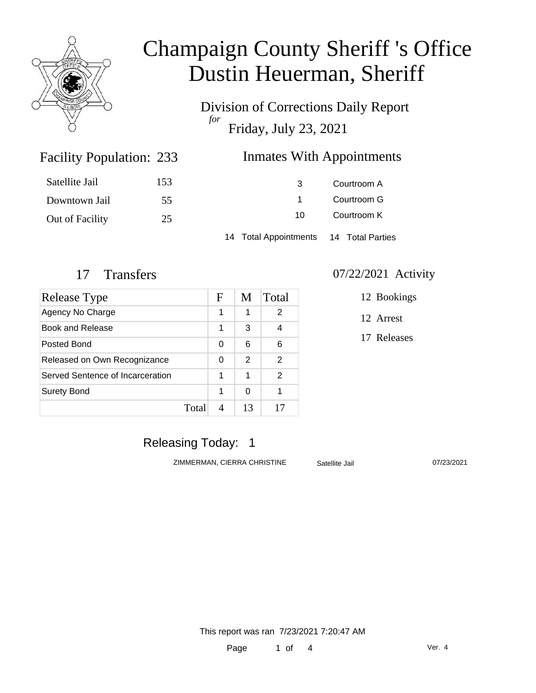

Division of Corrections Daily Report *for* Friday, July 23, 2021

### Inmates With Appointments

| Satellite Jail  | 153 | -3                                     | Courtroom A |  |
|-----------------|-----|----------------------------------------|-------------|--|
| Downtown Jail   | 55  |                                        | Courtroom G |  |
| Out of Facility | 25  | 10.                                    | Courtroom K |  |
|                 |     | 14 Total Appointments 14 Total Parties |             |  |

Facility Population: 233

| Release Type                     |       | F | M  | Total |
|----------------------------------|-------|---|----|-------|
| Agency No Charge                 |       | 1 | 1  | 2     |
| Book and Release                 |       | 1 | 3  | 4     |
| Posted Bond                      |       | 0 | 6  | 6     |
| Released on Own Recognizance     |       | 0 | 2  | 2     |
| Served Sentence of Incarceration |       |   | 1  | 2     |
| <b>Surety Bond</b>               |       | 1 | 0  |       |
|                                  | Total |   | 13 |       |

### 17 Transfers 07/22/2021 Activity

12 Bookings

12 Arrest

17 Releases

### Releasing Today: 1

ZIMMERMAN, CIERRA CHRISTINE Satellite Jail 07/23/2021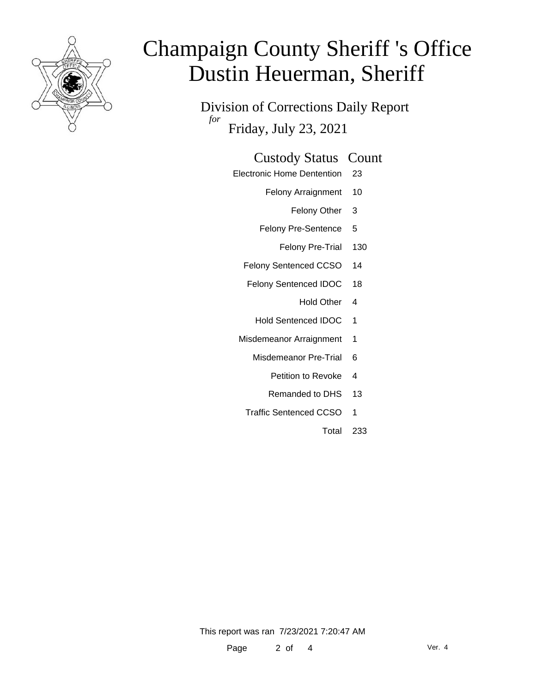

Division of Corrections Daily Report *for* Friday, July 23, 2021

### Custody Status Count

- Electronic Home Dentention 23
	- Felony Arraignment 10
		- Felony Other 3
	- Felony Pre-Sentence 5
		- Felony Pre-Trial 130
	- Felony Sentenced CCSO 14
	- Felony Sentenced IDOC 18
		- Hold Other 4
		- Hold Sentenced IDOC 1
	- Misdemeanor Arraignment 1
		- Misdemeanor Pre-Trial 6
			- Petition to Revoke 4
			- Remanded to DHS 13
		- Traffic Sentenced CCSO 1
			- Total 233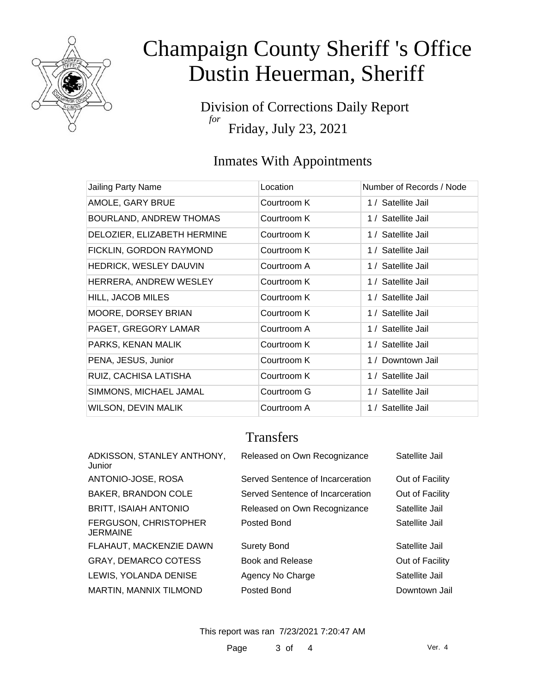

Division of Corrections Daily Report *for* Friday, July 23, 2021

### Inmates With Appointments

| Jailing Party Name             | Location    | Number of Records / Node |
|--------------------------------|-------------|--------------------------|
| AMOLE, GARY BRUE               | Courtroom K | 1 / Satellite Jail       |
| <b>BOURLAND, ANDREW THOMAS</b> | Courtroom K | 1 / Satellite Jail       |
| DELOZIER, ELIZABETH HERMINE    | Courtroom K | 1 / Satellite Jail       |
| FICKLIN, GORDON RAYMOND        | Courtroom K | 1 / Satellite Jail       |
| HEDRICK, WESLEY DAUVIN         | Courtroom A | 1 / Satellite Jail       |
| HERRERA, ANDREW WESLEY         | Courtroom K | 1 / Satellite Jail       |
| <b>HILL, JACOB MILES</b>       | Courtroom K | 1 / Satellite Jail       |
| MOORE, DORSEY BRIAN            | Courtroom K | 1 / Satellite Jail       |
| PAGET, GREGORY LAMAR           | Courtroom A | 1 / Satellite Jail       |
| PARKS, KENAN MALIK             | Courtroom K | 1 / Satellite Jail       |
| PENA, JESUS, Junior            | Courtroom K | 1 / Downtown Jail        |
| RUIZ, CACHISA LATISHA          | Courtroom K | 1 / Satellite Jail       |
| SIMMONS, MICHAEL JAMAL         | Courtroom G | 1 / Satellite Jail       |
| <b>WILSON, DEVIN MALIK</b>     | Courtroom A | 1 / Satellite Jail       |

## **Transfers**

| ADKISSON, STANLEY ANTHONY,<br>Junior | Released on Own Recognizance     | Satellite Jail  |
|--------------------------------------|----------------------------------|-----------------|
| ANTONIO-JOSE, ROSA                   | Served Sentence of Incarceration | Out of Facility |
| <b>BAKER, BRANDON COLE</b>           | Served Sentence of Incarceration | Out of Facility |
| BRITT, ISAIAH ANTONIO                | Released on Own Recognizance     | Satellite Jail  |
| FERGUSON, CHRISTOPHER<br>JERMAINE    | Posted Bond                      | Satellite Jail  |
| FLAHAUT, MACKENZIE DAWN              | <b>Surety Bond</b>               | Satellite Jail  |
| GRAY, DEMARCO COTESS                 | <b>Book and Release</b>          | Out of Facility |
| LEWIS, YOLANDA DENISE                | Agency No Charge                 | Satellite Jail  |
| MARTIN, MANNIX TILMOND               | Posted Bond                      | Downtown Jail   |